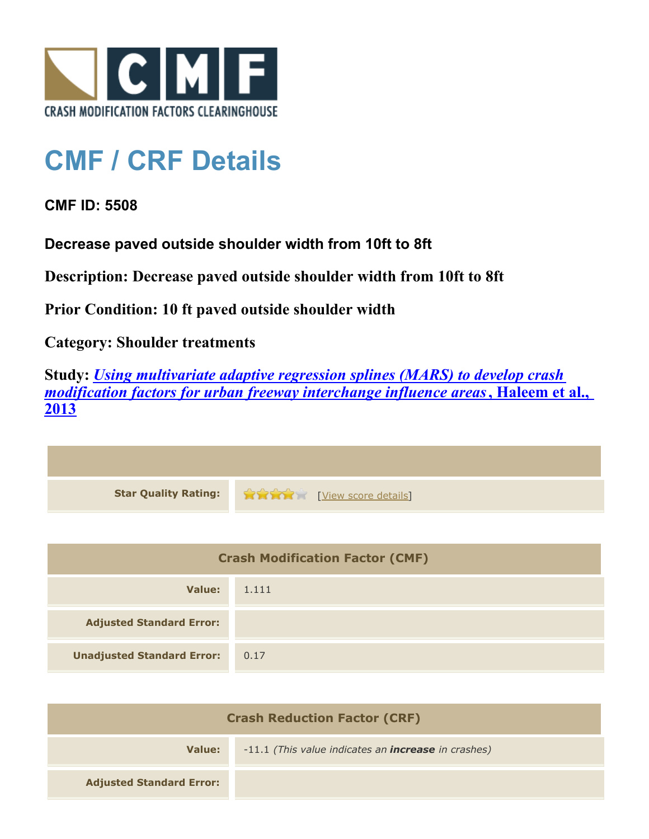

## **CMF / CRF Details**

**CMF ID: 5508**

**Decrease paved outside shoulder width from 10ft to 8ft**

**Description: Decrease paved outside shoulder width from 10ft to 8ft**

**Prior Condition: 10 ft paved outside shoulder width**

**Category: Shoulder treatments**

**Study:** *[Using multivariate adaptive regression splines \(MARS\) to develop crash](http://www.cmfclearinghouse.org/study_detail.cfm?stid=351) [modification factors for urban freeway interchange influence areas](http://www.cmfclearinghouse.org/study_detail.cfm?stid=351)***[, Haleem et al.,](http://www.cmfclearinghouse.org/study_detail.cfm?stid=351) [2013](http://www.cmfclearinghouse.org/study_detail.cfm?stid=351)**

| Star Quality Rating: 1999 [View score details] |
|------------------------------------------------|

| <b>Crash Modification Factor (CMF)</b> |       |
|----------------------------------------|-------|
| Value:                                 | 1.111 |
| <b>Adjusted Standard Error:</b>        |       |
| <b>Unadjusted Standard Error:</b>      | 0.17  |

| <b>Crash Reduction Factor (CRF)</b> |                                                            |
|-------------------------------------|------------------------------------------------------------|
| Value:                              | -11.1 (This value indicates an <b>increase</b> in crashes) |
| <b>Adjusted Standard Error:</b>     |                                                            |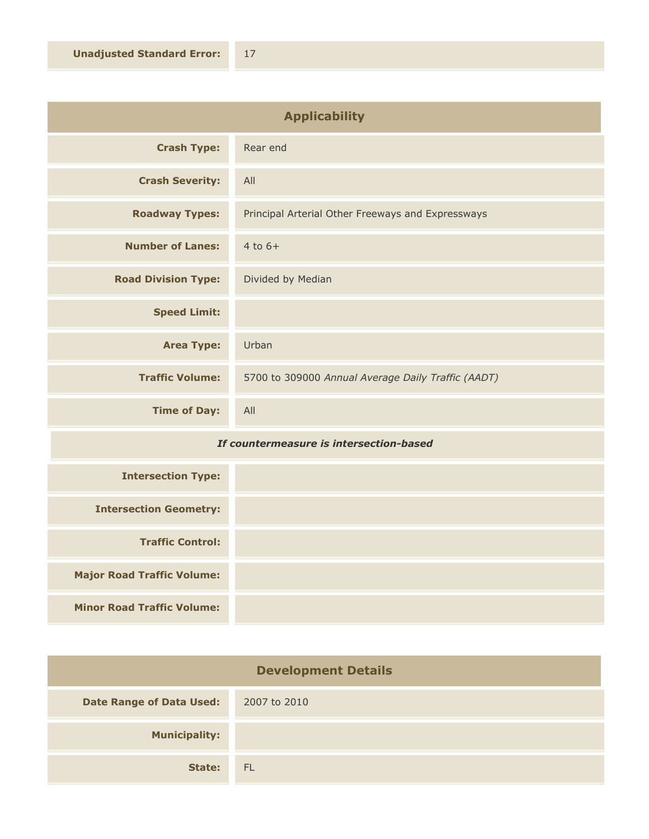| <b>Applicability</b>       |                                                    |
|----------------------------|----------------------------------------------------|
| <b>Crash Type:</b>         | Rear end                                           |
| <b>Crash Severity:</b>     | All                                                |
| <b>Roadway Types:</b>      | Principal Arterial Other Freeways and Expressways  |
| <b>Number of Lanes:</b>    | $4$ to $6+$                                        |
| <b>Road Division Type:</b> | Divided by Median                                  |
| <b>Speed Limit:</b>        |                                                    |
| <b>Area Type:</b>          | Urban                                              |
| <b>Traffic Volume:</b>     | 5700 to 309000 Annual Average Daily Traffic (AADT) |
| <b>Time of Day:</b>        | All                                                |

## *If countermeasure is intersection-based*

| <b>Intersection Type:</b>         |  |
|-----------------------------------|--|
| <b>Intersection Geometry:</b>     |  |
| <b>Traffic Control:</b>           |  |
| <b>Major Road Traffic Volume:</b> |  |
| <b>Minor Road Traffic Volume:</b> |  |

| <b>Development Details</b>      |              |
|---------------------------------|--------------|
| <b>Date Range of Data Used:</b> | 2007 to 2010 |
| <b>Municipality:</b>            |              |
| State:                          | - FL         |